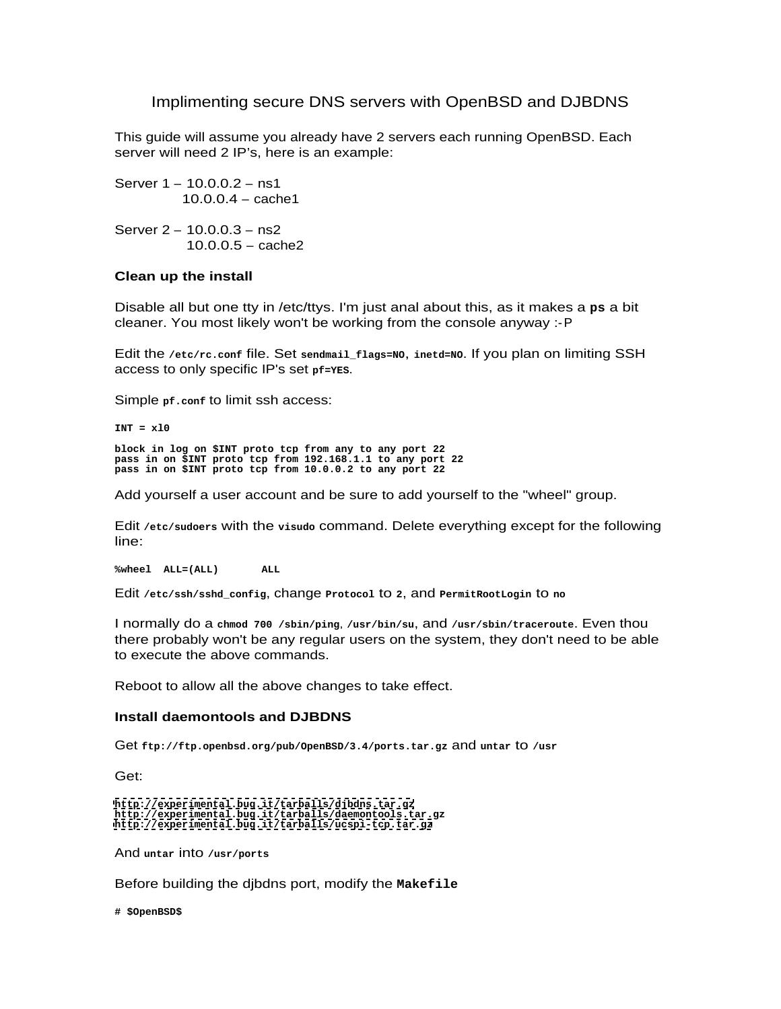# Implimenting secure DNS servers with OpenBSD and DJBDNS

This guide will assume you already have 2 servers each running OpenBSD. Each server will need 2 IP's, here is an example:

Server 1 – 10.0.0.2 – ns1 10.0.0.4 – cache1

Server 2 – 10.0.0.3 – ns2 10.0.0.5 – cache2

## **Clean up the install**

Disable all but one tty in /etc/ttys. I'm just anal about this, as it makes a **ps** a bit cleaner. You most likely won't be working from the console anyway :-P

Edit the **/etc/rc.conf** file. Set **sendmail\_flags=NO**, **inetd=NO**. If you plan on limiting SSH access to only specific IP's set **pf=YES**.

Simple **pf.conf** to limit ssh access:

**INT = xl0**

**block in log on \$INT proto tcp from any to any port 22 pass in on \$INT proto tcp from 192.168.1.1 to any port 22 pass in on \$INT proto tcp from 10.0.0.2 to any port 22**

Add yourself a user account and be sure to add yourself to the "wheel" group.

Edit **/etc/sudoers** with the **visudo** command. Delete everything except for the following line: when the contract of the contract of the contract of the contract of the contract of the contract of the contract of the contract of the contract of the contract of the contract of the contract of the contract of the

**%wheel ALL=(ALL) ALL**

Edit **/etc/ssh/sshd\_config**, change **Protocol** to **2**, and **PermitRootLogin** to **no**

I normally do a **chmod 700 /sbin/ping**, **/usr/bin/su**, and **/usr/sbin/traceroute**. Even thou there probably won't be any regular users on the system, they don't need to be able to execute the above commands.

Reboot to allow all the above changes to take effect.

# **Install daemontools and DJBDNS**

Get **ftp://ftp.openbsd.org/pub/OpenBSD/3.4/ports.tar.gz** and **untar** to **/usr**

Get:

```
http://experimental.bug.it/tarballs/djbdns.tar.gz
http://experimental.bug.it/tarballs/daemontools.tar.gz
http://experimental.bug.it/tarballs/ucspi-tcp.tar.gz
```
And **untar** into **/usr/ports**

Before building the djbdns port, modify the **Makefile**

**# \$OpenBSD\$**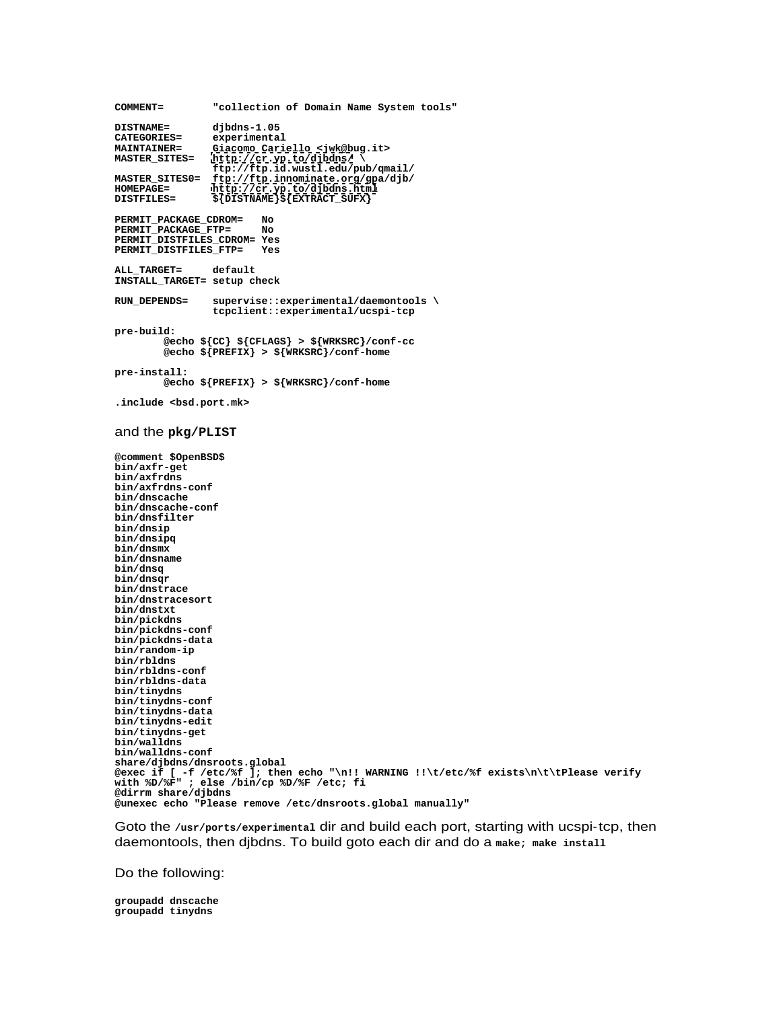**COMMENT= "collection of Domain Name System tools" DISTNAME= djbdns-1.05 CATEGORIES= experimental MAINTAINER= Giacomo Cariello <jwk@bug.it> MASTER\_SITES= <http://cr.yp.to/djbdns/> \ ftp://ftp.id.wustl.edu/pub/qmail/ MASTER\_SITES0= ftp://ftp.innominate.org/gpa/djb/ HOMEPAGE= <http://cr.yp.to/djbdns.html> DISTFILES= \${DISTNAME}\${EXTRACT\_SUFX} PERMIT\_PACKAGE\_CDROM= No PERMIT\_PACKAGE\_FTP= No PERMIT\_DISTFILES\_CDROM= Yes PERMIT\_DISTFILES\_FTP= Yes ALL\_TARGET= default INSTALL\_TARGET= setup check RUN\_DEPENDS= supervise::experimental/daemontools \ tcpclient::experimental/ucspi-tcp pre-build: @echo \${CC} \${CFLAGS} > \${WRKSRC}/conf-cc @echo \${PREFIX} > \${WRKSRC}/conf-home pre-install: @echo \${PREFIX} > \${WRKSRC}/conf-home .include <bsd.port.mk>** and the **pkg/PLIST @comment \$OpenBSD\$ bin/axfr-get bin/axfrdns bin/axfrdns-conf bin/dnscache bin/dnscache-conf bin/dnsfilter bin/dnsip bin/dnsipq bin/dnsmx bin/dnsname bin/dnsq bin/dnsqr bin/dnstrace bin/dnstracesort bin/dnstxt bin/pickdns bin/pickdns-conf bin/pickdns-data bin/random-ip bin/rbldns bin/rbldns-conf bin/rbldns-data bin/tinydns bin/tinydns-conf bin/tinydns-data bin/tinydns-edit bin/tinydns-get bin/walldns bin/walldns-conf share/djbdns/dnsroots.global @exec if [ -f /etc/%f ]; then echo "\n!! WARNING !!\t/etc/%f exists\n\t\tPlease verify with %D/%F" ; else /bin/cp %D/%F /etc; fi @dirrm share/djbdns @unexec echo "Please remove /etc/dnsroots.global manually"**

Goto the **/usr/ports/experimental** dir and build each port, starting with ucspi-tcp, then daemontools, then djbdns. To build goto each dir and do a **make; make install**

Do the following:

**groupadd dnscache groupadd tinydns**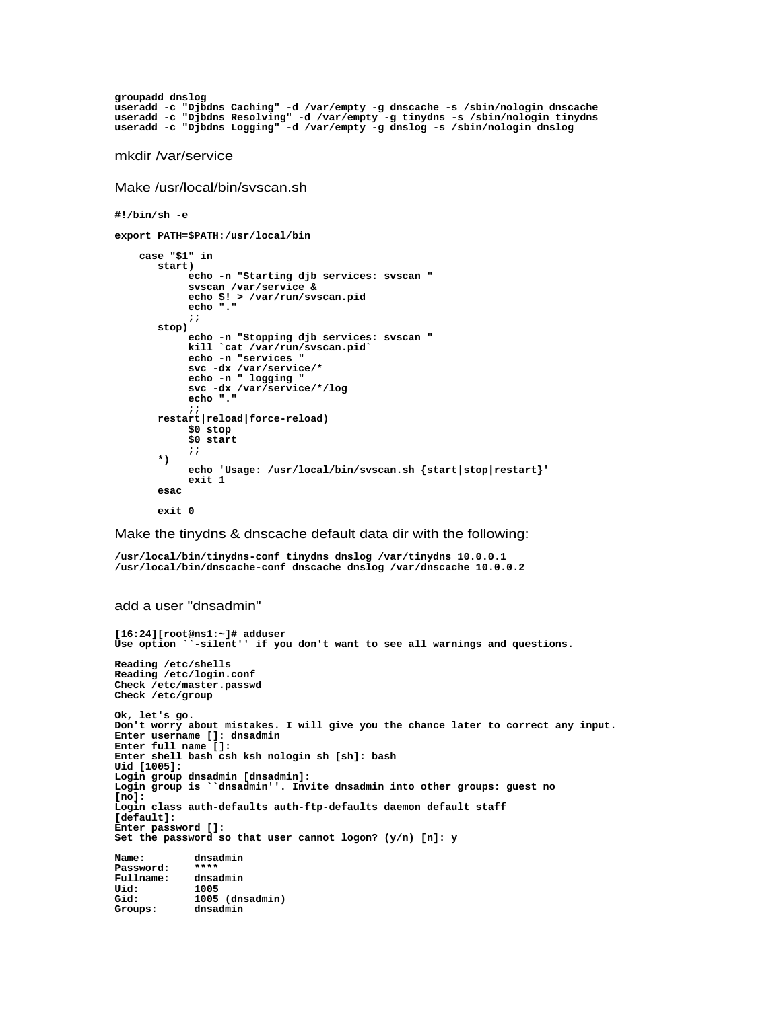```
groupadd dnslog
useradd -c "Djbdns Caching" -d /var/empty -g dnscache -s /sbin/nologin dnscache
useradd -c "Djbdns Resolving" -d /var/empty -g tinydns -s /sbin/nologin tinydns
useradd -c "Djbdns Logging" -d /var/empty -g dnslog -s /sbin/nologin dnslog
mkdir /var/service
Make /usr/local/bin/svscan.sh
#!/bin/sh -e
export PATH=$PATH:/usr/local/bin
 case "$1" in
 start)
      echo -n "Starting djb services: svscan "
      svscan /var/service &
      echo $! > /var/run/svscan.pid
 echo "."
\mathbf{r} ; \mathbf{r} ; \mathbf{r} ; \mathbf{r} ; \mathbf{r} ; \mathbf{r} ; \mathbf{r} ; \mathbf{r} ; \mathbf{r} ; \mathbf{r} ; \mathbf{r} ; \mathbf{r} ; \mathbf{r} ; \mathbf{r} ; \mathbf{r} ; \mathbf{r} ; \mathbf{r} ; \mathbf{r} ; \mathbf{r} ; \mathbf{r} ;  stop)
 echo -n "Stopping djb services: svscan "
 kill `cat /var/run/svscan.pid`
      echo -n "services "
 svc -dx /var/service/*
 echo -n " logging "
 svc -dx /var/service/*/log
 echo "."
\mathbf{r} ; \mathbf{r} ; \mathbf{r} ; \mathbf{r} ; \mathbf{r} ; \mathbf{r} ; \mathbf{r} ; \mathbf{r} ; \mathbf{r} ; \mathbf{r} ; \mathbf{r} ; \mathbf{r} ; \mathbf{r} ; \mathbf{r} ; \mathbf{r} ; \mathbf{r} ; \mathbf{r} ; \mathbf{r} ; \mathbf{r} ; \mathbf{r} ;  restart|reload|force-reload)
 $0 stop
 $0 start
\mathbf{r} ; \mathbf{r} ; \mathbf{r} ; \mathbf{r} ; \mathbf{r} ; \mathbf{r} ; \mathbf{r} ; \mathbf{r} ; \mathbf{r} ; \mathbf{r} ; \mathbf{r} ; \mathbf{r} ; \mathbf{r} ; \mathbf{r} ; \mathbf{r} ; \mathbf{r} ; \mathbf{r} ; \mathbf{r} ; \mathbf{r} ; \mathbf{r} ;  *)
      echo 'Usage: /usr/local/bin/svscan.sh {start|stop|restart}'
exit 1 exit 1
 esac
 exit 0
```
Make the tinydns & dnscache default data dir with the following:

```
/usr/local/bin/tinydns-conf tinydns dnslog /var/tinydns 10.0.0.1
/usr/local/bin/dnscache-conf dnscache dnslog /var/dnscache 10.0.0.2
```

```
add a user "dnsadmin"
```

```
[16:24][root@ns1:~]# adduser
Use option ``-silent'' if you don't want to see all warnings and questions.
Reading /etc/shells
Reading /etc/login.conf
Check /etc/master.passwd
Check /etc/group
Ok, let's go.
Don't worry about mistakes. I will give you the chance later to correct any input.
Enter username []: dnsadmin
Enter full name []:
Enter shell bash csh ksh nologin sh [sh]: bash
Uid [1005]:
Login group dnsadmin [dnsadmin]:
Login group is ``dnsadmin''. Invite dnsadmin into other groups: guest no
[no]:
Login class auth-defaults auth-ftp-defaults daemon default staff
[default]:
Enter password []:
Set the password so that user cannot logon? (y/n) [n]: y
Name: dnsadmin
Password: ****
Fullname: dnsadmin
Uid: 1005
Gid: 1005 (dnsadmin)
Groups: dnsadmin
```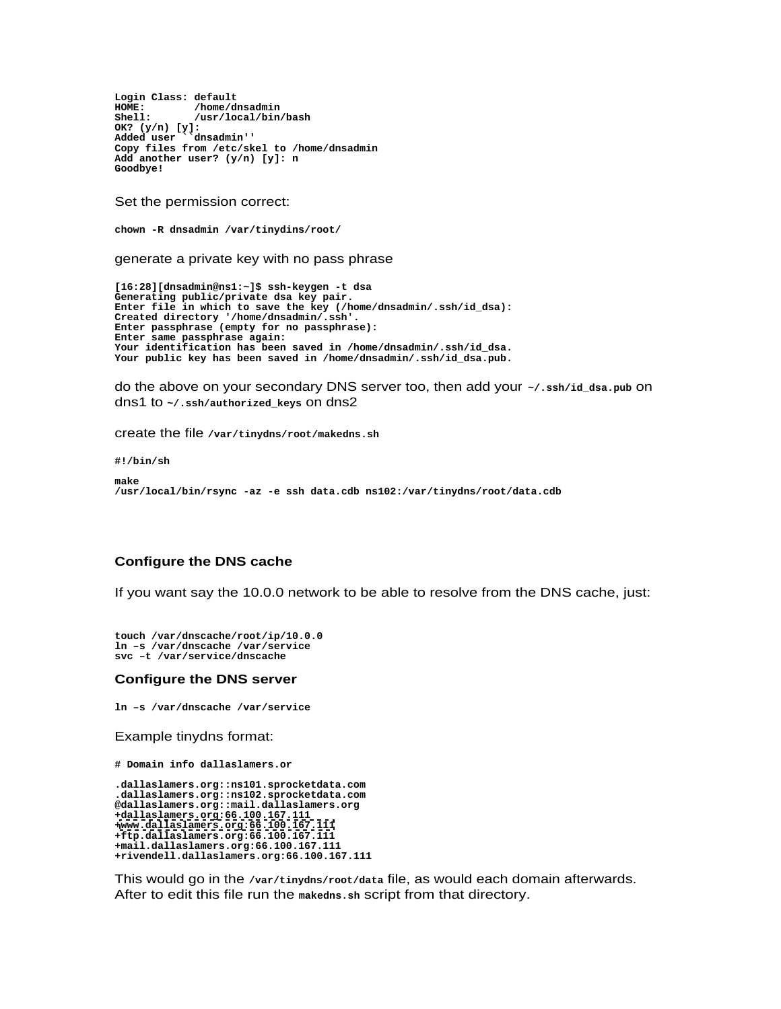Login Class: default<br>**HOME:** /home/dnsadmin **HOME: /home/dnsadmin Shell: /usr/local/bin/bash OK? (y/n) [y]: Added user ``dnsadmin'' Copy files from /etc/skel to /home/dnsadmin Add another user? (y/n) [y]: n Goodbye!**

Set the permission correct:

**chown -R dnsadmin /var/tinydins/root/**

generate a private key with no pass phrase

**[16:28][dnsadmin@ns1:~]\$ ssh-keygen -t dsa Generating public/private dsa key pair. Enter file in which to save the key (/home/dnsadmin/.ssh/id\_dsa): Created directory '/home/dnsadmin/.ssh'. Enter passphrase (empty for no passphrase): Enter same passphrase again: Your identification has been saved in /home/dnsadmin/.ssh/id\_dsa. Your public key has been saved in /home/dnsadmin/.ssh/id\_dsa.pub.**

do the above on your secondary DNS server too, then add your **~/.ssh/id\_dsa.pub** on dns1 to **~/.ssh/authorized\_keys** on dns2

create the file **/var/tinydns/root/makedns.sh**

**#!/bin/sh**

**make /usr/local/bin/rsync -az -e ssh data.cdb ns102:/var/tinydns/root/data.cdb**

## **Configure the DNS cache**

If you want say the 10.0.0 network to be able to resolve from the DNS cache, just:

**touch /var/dnscache/root/ip/10.0.0 ln –s /var/dnscache /var/service svc –t /var/service/dnscache**

#### **Configure the DNS server**

**ln –s /var/dnscache /var/service**

Example tinydns format:

**# Domain info dallaslamers.or**

**.dallaslamers.org::ns101.sprocketdata.com .dallaslamers.org::ns102.sprocketdata.com @dallaslamers.org::mail.dallaslamers.org +dallaslamers.org:66.100.167.111 [+www.dallaslamers.org:66.100.167.111](http://www.dallaslamers.org:66.100.167.111) +ftp.dallaslamers.org:66.100.167.111 +mail.dallaslamers.org:66.100.167.111 +rivendell.dallaslamers.org:66.100.167.111**

This would go in the **/var/tinydns/root/data** file, as would each domain afterwards. After to edit this file run the **makedns.sh** script from that directory.